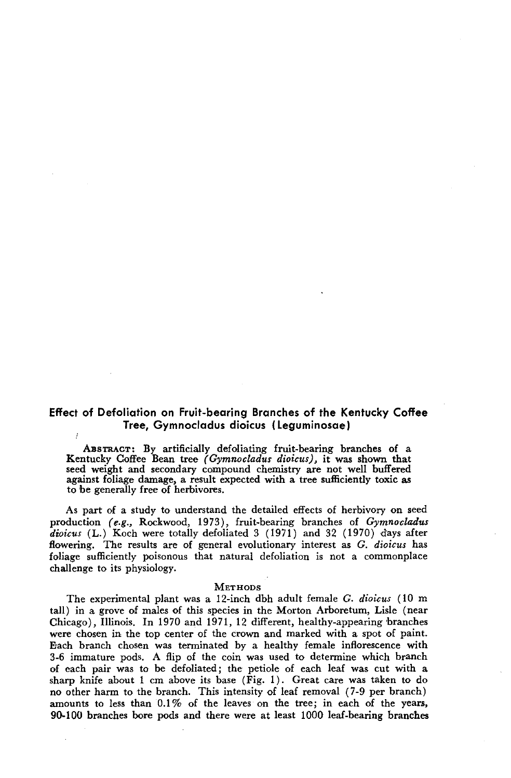# **Effect of Defoliation on Fruit-bearing Branches of the Kentucky Coffee Tree, Gymnocladus dioicus (Leguminosae)**

ABSTRACT: By artificially defoliating fruit-bearing branches of a Kentucky Coffee Bean tree *(Gymnocladus dioicus),* it was shown that seed weight and secondary compound chemistry are not well buffered against foliage damage, a result expected with a tree sufficiently toxic as to be generally free of herbivores.

As part of a study to understand the detailed effects of herbivory on seed production *(e.g.,* Rockwood, 1973), fruit-bearing branches of *Gymnocladus dioicus* (L.) Koch were totally defoliated 3 (1971) and 32 (1970) days after flowering. The results are of general evolutionary interest as G. *dioicus* has foliage sufficiently poisonous that natural defoliation is not a commonplace challenge to its physiology.

#### METHODS

The experimental plant was a 12-inch dbh adult female G. *dioicus* (10 m tall) in a grove of males of this species in the Morton Arboretum, Lisle (near Chicago), Illinois. In 1970 and 1971, 12 different, healthy-appearing branches were chosen in the top center of the crown and marked with a spot of paint. Bach branch chosen was terminated by a healthy female inflorescence with 3-6 immature pods. A flip of the coin was used to determine which branch of each pair was to be defoliated; the petiole of each leaf was cut with a sharp knife about 1 cm above its base (Fig. 1). Great care was taken to do no other harm to the branch. This intensity of leaf removal (7-9 per branch) amounts to less than  $0.1\%$  of the leaves on the tree; in each of the years, 90-100 branches bore pods and there were at least 1000 leaf-bearing branches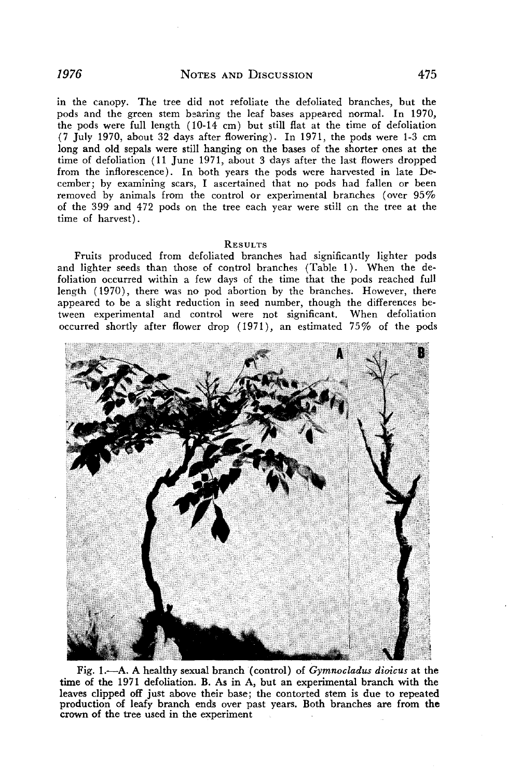in the canopy. The tree did not refoliate the defoliated branches, but the pods and the green stem bearing the leaf bases appeared normal. In 1970, the pods were full length (10-14 cm) but still flat at the time of defoliation (7 July 1970, about 32 days after flowering). In 1971, the pods were 1-3 cm long and old sepals were still hanging on the bases of the shorter ones at the time of defoliation (11 June 1971, about 3 days after the last flowers dropped from the inflorescence). In both years the pods were harvested in late December; by examining scars, I ascertained that no pods had fallen or been removed by animals from the control or experimental branches (over 95% of the 399 and 472 pods on the tree each year were still on the tree at the time of harvest).

#### **RESULTS**

Fruits produced from defoliated branches had significantly lighter pods and lighter seeds than those of control branches (Table 1). When the defoliation occurred within a few days of the time that the pods reached full length (1970), there was no pod abortion by the branches. However, there appeared to be a slight reduction in seed number, though the differences between experimental and control were not significant. When defoliation occurred shortly after flower drop (1971), an estimated 75% of the pods



Fig. I.-A. A healthy sexual branch ( control) of *Gymnocladus dioicus* at the time of the 1971 defoliation. B. As in A, but an experimental branch with the leaves clipped off just above their base; the contorted stem is due to repeated production of leafy branch ends over past years. Both branches are from the crown of the tree used in the experiment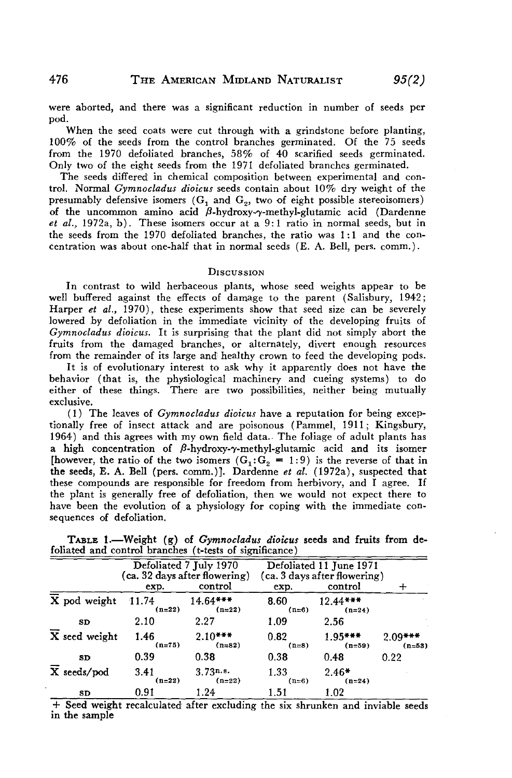were aborted, and there was a significant reduction in number of seeds per pod.

When the seed coats were cut through with a grindstone before planting, 100% of the seeds from the control branches germinated. Of the 75 seeds from the 1970 defoliated branches, 58% of 40 scarified seeds germinated. Only two of the eight seeds from the 1971 defoliated branches germinated.

The seeds differed in chemical composition between experimental and control. Normal *Gymnocladus dioicus* seeds contain about 10% dry weight of the presumably defensive isomers  $(G_1 \text{ and } G_2)$ , two of eight possible stereoisomers) of the uncommon amino acid  $\beta$ -hydroxy- $\gamma$ -methyl-glutamic acid (Dardenne *et ai.,* 1972a, b). These isomers occur at a 9: 1 ratio in normal seeds, but in the seeds from the 1970 defoliated branches, the ratio was 1: 1 and the concentration was about one-half that in normal seeds (E. A. Bell, pers. comm.).

### **DISCUSSION**

In contrast to wild herbaceous plants, whose seed weights appear to be well buffered against the effects of damage to the parent (Salisbury, 1942; Harper *et ai.,* 1970), these experiments show that seed size can be severely lowered by defoliation in the immediate vicinity of the developing fruits of *Gymnocladus dioicus.* It is surprising that the plant did not simply abort the fruits from the damaged branches, or altemately, divert enough resources from the remainder of its large and healthy crown to feed the developing pods.

It is of evolutionary interest to ask why it apparently does not have the behavior (that is, the physiological machinery and cueing systems) to do either of these things. There are two possibilities, neither being mutually exclusive.

( 1) The leaves of *Gymnocladus dioicus* have a reputation for being exceptionally free of insect attack and are poisonous (Pammel, 1911; Kingsbury, 1964) and this agrees with my own field data. The foliage of adult plants has a high concentration of  $\beta$ -hydroxy- $\gamma$ -methyl-glutamic acid and its isomer [however, the ratio of the two isomers  $(G_1: G_2 = 1: 9)$  is the reverse of that in the seeds, E. A. Bell (pers. comm.)]. Dardenne *et al.* (1972a), suspected that these compounds are responsible for freedom from herbivory, and I agree. If the plant is generally free of defoliation, then we would not expect there to have been the evolution of a physiology for coping with the immediate consequences of defoliation.

|                                     | Defoliated 7 July 1970<br>(ca. 32 days after flowering)<br>control<br>exp. |                        | Defoliated 11 June 1971<br>(ca. 3 days after flowering)<br>control<br>exp. |                        | ┿                     |
|-------------------------------------|----------------------------------------------------------------------------|------------------------|----------------------------------------------------------------------------|------------------------|-----------------------|
| $\overline{X}$ pod weight           | 11.74<br>$(n=22)$                                                          | $14.64***$<br>$(n=22)$ | 8.60<br>$(n=6)$                                                            | $12.44***$<br>$(n=24)$ |                       |
| <b>SD</b>                           | 2.10                                                                       | 2.27                   | 1.09                                                                       | 2.56                   |                       |
| $\overline{\mathbf{X}}$ seed weight | 1.46<br>$(n=75)$                                                           | $2.10***$<br>$(n=82)$  | 0.82<br>$(n=8)$                                                            | $1.95***$<br>$(n=59)$  | $2.09***$<br>$(n=53)$ |
| SD                                  | 0.39                                                                       | 0.38                   | 0.38                                                                       | 0.48                   | 0.22                  |
| $\overline{X}$ seeds/pod            | 3.41<br>$(n=22)$                                                           | 3.73n.s.<br>$(n=22)$   | 1.33<br>$(n=6)$                                                            | $2.46*$<br>$(n=24)$    |                       |
| SD                                  | 0.91                                                                       | 1.24                   | 1.51                                                                       | 1.02                   |                       |

TABLE I.-Weight (g) of *Gymnociadus dioicus* seeds and fruits from defoliated and control branches (t-tests of significance)

+ Seed weight recalculated after excluding the six shrunken and inviable seeds in the sample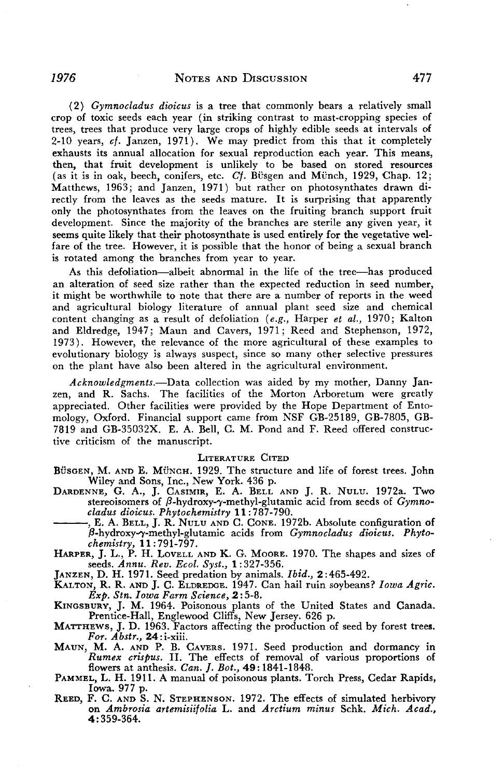*(2) Gymnocladus dioicus* is a tree that commonly bears a relatively smail crop of toxic seeds each year (in striking contrast to mast-cropping species of trees, trees that produce very large crops of highly edible seeds at intervals of 2-10 years, *ct.* Janzen, 1971). We may predict from this that it completely exhausts its annual allocation for sexual reproduction each year. This means, then, that fruit development is unlikely to be based on stored resources (as it is in oak, beech, conifers, etc.  $Cf$ . Büsgen and Münch, 1929, Chap. 12; Matthews, 1963; and Janzen, 1971) but rather on photosynthates drawn directly from the leaves as the seeds mature. It is surprising that apparently only the photosynthates from the leaves on the fruiting branch support fruit development. Since the majority of the branches are sterile any given year, it seems quite likely that their photosynthate is used entirely for the vegetative welfare of the tree. However, it is possible that the honor of being a sexual branch is rotated among the branches from year to year.

As this defoliation-albeit abnormal in the life of the tree-has produced an alteration of seed size rather than the expected reduction in seed number, it might be worthwhile to note that there are a number of reports in the weed and agricultural biology literature of annual plant seed size and chemical content changing as a result of defoliation *(e.g.,* Harper *et al.,* 1970; Kalton and Eldredge, 1947; Maun and Cavers, 1971; Reed and Stephenson, 1972, 1973). However, the relevance of the more agricultural of these examples to evolutionary biology is always suspect, since so many other selective pressures on the plant have also been altered in the agricultural environment.

*Acknowledgments.-Data* collection was aided by my mother, Danny Janzen, and R. Sachs. The facilities of the Morton Arboretum were greatly appreciated. Other facilities were provided by the Hope Department of Entomology, Oxford. Financial support came from NSF GB-25189, GB-7805, GB-7819 and GB-35032X. E. A. Bell, C. M. Pond and F. Reed offered constructive criticism of the manuscript.

# LITERATURE CITED

BUSGEN, M. AND E. MUNCH. 1929. The structure and life of forest trees. John

- Wiley and Sons, Inc., New York. 436 p.<br>
DARDENNE, G. A., J. CASIMIR, E. A. BELL AND J. R. NULU. 1972a. Two<br>
stereoisomers of  $\beta$ -hydroxy- $\gamma$ -methyl-glutamic acid from seeds of  $Gymno-  
cladus dioicus. Phytochemistry 11:787-790.$ <br>
...........
- ,8-hydroxy.-y-methyl-glutamic acids from *Gymnocladus dicicus. Phyto-*

*chemistry,* 11:791-797. HARPER, J. L., P. H. LOVELL AND K. G. MOORE. 1970. The shapes and sizes of seeds. *Annu. Rev. Ecol. Syst.,* 1: 327-356.

JANZEN, D. H. 1971. Seed predation by animals. *Ibid., 2:465-492.* 

KALTON, R. R. AND J. C. ELDREDGE. 1947. Can hail ruin soybeans? *Iowa Agric.*   $Exp.$  *Stn. Iowa Farm Science, 2:5-8.* 

KINGSBURY, J. M. 1964. Poisonous plants of the United States and Canada. Prentice-Hall, Englewood Cliffs, New Jersey. 626 p.

MATTHEWS, J. D. 1963. Factors affecting the production of seed by forest trees. *For. Abstr.,* 24: i-xiii.

MAUN, M. A. AND P. B. CAVERS. 1971. Seed production and dormancy in *Rumex crispus.* II. The effects of removal of various proportions of flowers at anthesis. *Can.* ]. *Bot.,* **49:** 1841-1848.

PAMMEL, L. H. 1911. A manual of poisonous plants. Torch Press, Cedar Rapids, Iowa. 977 p.

REED, F. C. AND S. N. STEPHENSON. 1972. The effects of simulated herbivory on *Ambrosia artemisiitolia* L. and *Arctium minus* Schk. *Mich. Acad.,*  4:359-364.